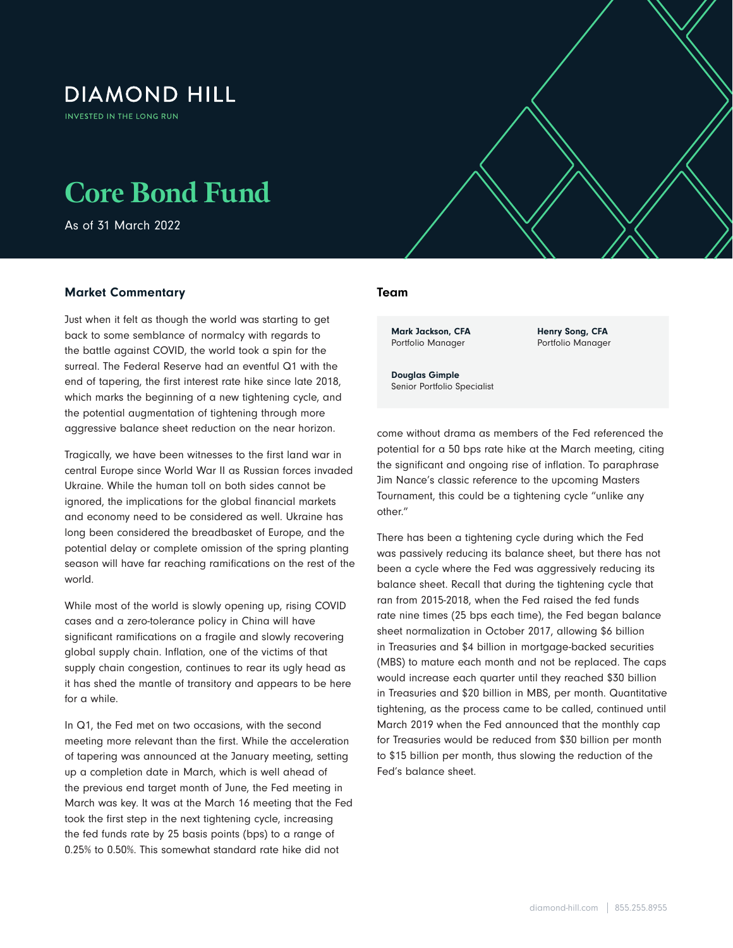## **DIAMOND HILL**

**INVESTED IN THE LONG RUN** 

# **Core Bond Fund**

As of 31 March 2022

#### Market Commentary

Just when it felt as though the world was starting to get back to some semblance of normalcy with regards to the battle against COVID, the world took a spin for the surreal. The Federal Reserve had an eventful Q1 with the end of tapering, the first interest rate hike since late 2018, which marks the beginning of a new tightening cycle, and the potential augmentation of tightening through more aggressive balance sheet reduction on the near horizon.

Tragically, we have been witnesses to the first land war in central Europe since World War II as Russian forces invaded Ukraine. While the human toll on both sides cannot be ignored, the implications for the global financial markets and economy need to be considered as well. Ukraine has long been considered the breadbasket of Europe, and the potential delay or complete omission of the spring planting season will have far reaching ramifications on the rest of the world.

While most of the world is slowly opening up, rising COVID cases and a zero-tolerance policy in China will have significant ramifications on a fragile and slowly recovering global supply chain. Inflation, one of the victims of that supply chain congestion, continues to rear its ugly head as it has shed the mantle of transitory and appears to be here for a while.

In Q1, the Fed met on two occasions, with the second meeting more relevant than the first. While the acceleration of tapering was announced at the January meeting, setting up a completion date in March, which is well ahead of the previous end target month of June, the Fed meeting in March was key. It was at the March 16 meeting that the Fed took the first step in the next tightening cycle, increasing the fed funds rate by 25 basis points (bps) to a range of 0.25% to 0.50%. This somewhat standard rate hike did not

#### Team

Core Bond Fund As of 31 March 2022

Mark Jackson, CFA Portfolio Manager

Henry Song, CFA Portfolio Manager

Douglas Gimple Senior Portfolio Specialist

come without drama as members of the Fed referenced the potential for a 50 bps rate hike at the March meeting, citing the significant and ongoing rise of inflation. To paraphrase Jim Nance's classic reference to the upcoming Masters Tournament, this could be a tightening cycle "unlike any other."

There has been a tightening cycle during which the Fed was passively reducing its balance sheet, but there has not been a cycle where the Fed was aggressively reducing its balance sheet. Recall that during the tightening cycle that ran from 2015-2018, when the Fed raised the fed funds rate nine times (25 bps each time), the Fed began balance sheet normalization in October 2017, allowing \$6 billion in Treasuries and \$4 billion in mortgage-backed securities (MBS) to mature each month and not be replaced. The caps would increase each quarter until they reached \$30 billion in Treasuries and \$20 billion in MBS, per month. Quantitative tightening, as the process came to be called, continued until March 2019 when the Fed announced that the monthly cap for Treasuries would be reduced from \$30 billion per month to \$15 billion per month, thus slowing the reduction of the Fed's balance sheet.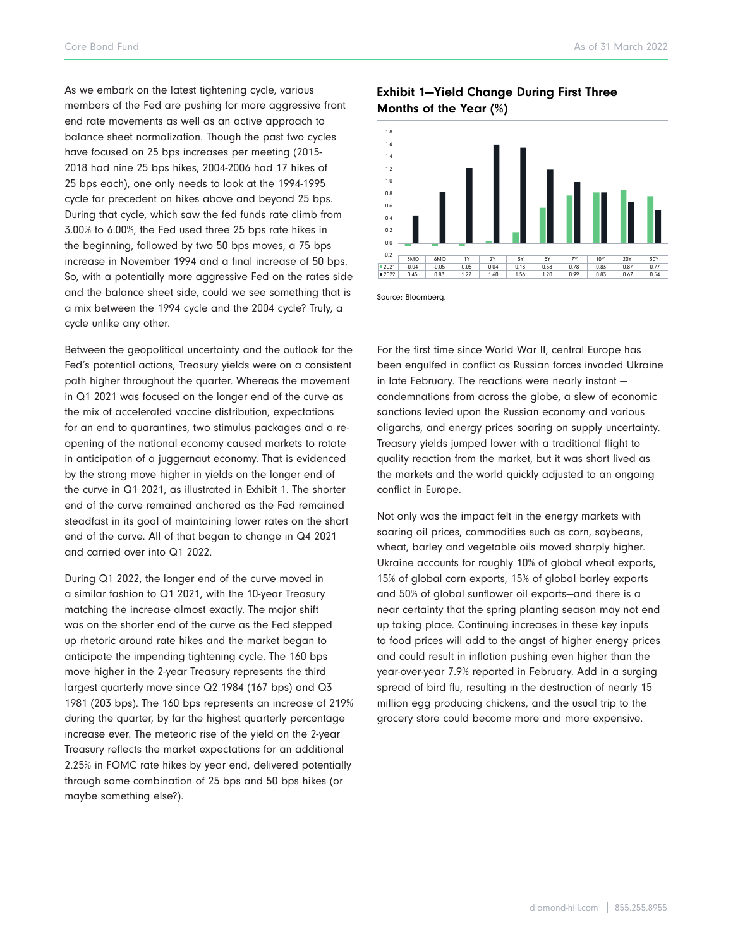Core Bond Fund As of 31 March 2022

As we embark on the latest tightening cycle, various members of the Fed are pushing for more aggressive front end rate movements as well as an active approach to balance sheet normalization. Though the past two cycles have focused on 25 bps increases per meeting (2015- 2018 had nine 25 bps hikes, 2004-2006 had 17 hikes of 25 bps each), one only needs to look at the 1994-1995 cycle for precedent on hikes above and beyond 25 bps. During that cycle, which saw the fed funds rate climb from 3.00% to 6.00%, the Fed used three 25 bps rate hikes in the beginning, followed by two 50 bps moves, a 75 bps increase in November 1994 and a final increase of 50 bps. So, with a potentially more aggressive Fed on the rates side and the balance sheet side, could we see something that is a mix between the 1994 cycle and the 2004 cycle? Truly, a cycle unlike any other.

Between the geopolitical uncertainty and the outlook for the Fed's potential actions, Treasury yields were on a consistent path higher throughout the quarter. Whereas the movement in Q1 2021 was focused on the longer end of the curve as the mix of accelerated vaccine distribution, expectations for an end to quarantines, two stimulus packages and a reopening of the national economy caused markets to rotate in anticipation of a juggernaut economy. That is evidenced by the strong move higher in yields on the longer end of the curve in Q1 2021, as illustrated in Exhibit 1. The shorter end of the curve remained anchored as the Fed remained steadfast in its goal of maintaining lower rates on the short end of the curve. All of that began to change in Q4 2021 and carried over into Q1 2022.

During Q1 2022, the longer end of the curve moved in a similar fashion to Q1 2021, with the 10-year Treasury matching the increase almost exactly. The major shift was on the shorter end of the curve as the Fed stepped up rhetoric around rate hikes and the market began to anticipate the impending tightening cycle. The 160 bps move higher in the 2-year Treasury represents the third largest quarterly move since Q2 1984 (167 bps) and Q3 1981 (203 bps). The 160 bps represents an increase of 219% during the quarter, by far the highest quarterly percentage increase ever. The meteoric rise of the yield on the 2-year Treasury reflects the market expectations for an additional 2.25% in FOMC rate hikes by year end, delivered potentially through some combination of 25 bps and 50 bps hikes (or maybe something else?).

### Exhibit 1—Yield Change During First Three Months of the Year (%)



Source: Bloomberg.

For the first time since World War II, central Europe has been engulfed in conflict as Russian forces invaded Ukraine in late February. The reactions were nearly instant condemnations from across the globe, a slew of economic sanctions levied upon the Russian economy and various oligarchs, and energy prices soaring on supply uncertainty. Treasury yields jumped lower with a traditional flight to quality reaction from the market, but it was short lived as the markets and the world quickly adjusted to an ongoing conflict in Europe.

Not only was the impact felt in the energy markets with soaring oil prices, commodities such as corn, soybeans, wheat, barley and vegetable oils moved sharply higher. Ukraine accounts for roughly 10% of global wheat exports, 15% of global corn exports, 15% of global barley exports and 50% of global sunflower oil exports—and there is a near certainty that the spring planting season may not end up taking place. Continuing increases in these key inputs to food prices will add to the angst of higher energy prices and could result in inflation pushing even higher than the year-over-year 7.9% reported in February. Add in a surging spread of bird flu, resulting in the destruction of nearly 15 million egg producing chickens, and the usual trip to the grocery store could become more and more expensive.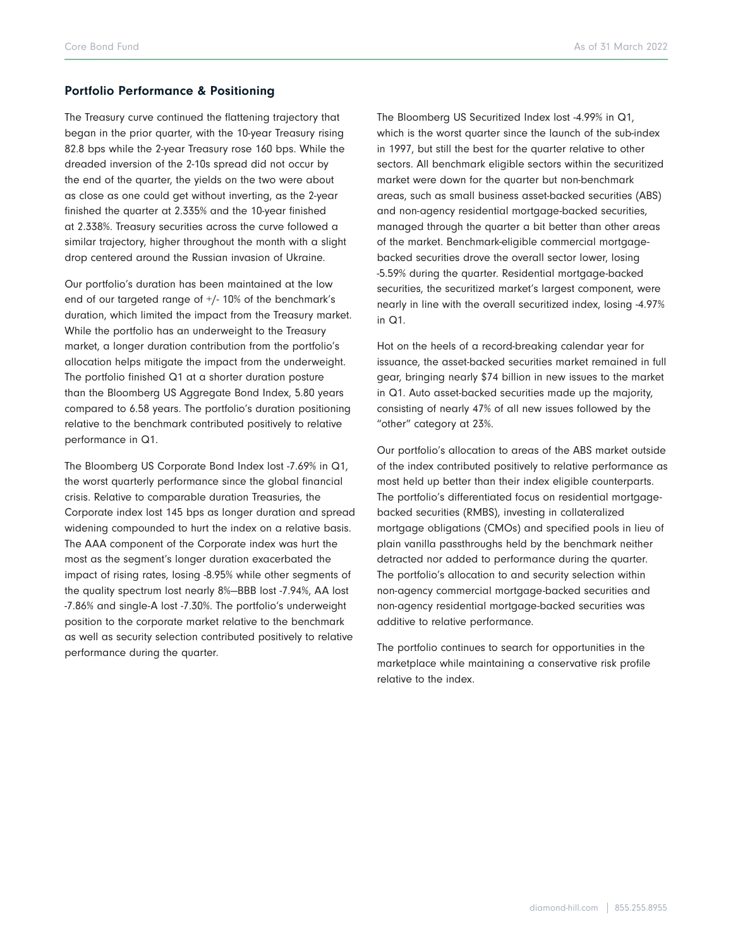#### Portfolio Performance & Positioning

The Treasury curve continued the flattening trajectory that began in the prior quarter, with the 10-year Treasury rising 82.8 bps while the 2-year Treasury rose 160 bps. While the dreaded inversion of the 2-10s spread did not occur by the end of the quarter, the yields on the two were about as close as one could get without inverting, as the 2-year finished the quarter at 2.335% and the 10-year finished at 2.338%. Treasury securities across the curve followed a similar trajectory, higher throughout the month with a slight drop centered around the Russian invasion of Ukraine.

Our portfolio's duration has been maintained at the low end of our targeted range of +/- 10% of the benchmark's duration, which limited the impact from the Treasury market. While the portfolio has an underweight to the Treasury market, a longer duration contribution from the portfolio's allocation helps mitigate the impact from the underweight. The portfolio finished Q1 at a shorter duration posture than the Bloomberg US Aggregate Bond Index, 5.80 years compared to 6.58 years. The portfolio's duration positioning relative to the benchmark contributed positively to relative performance in Q1.

The Bloomberg US Corporate Bond Index lost -7.69% in Q1, the worst quarterly performance since the global financial crisis. Relative to comparable duration Treasuries, the Corporate index lost 145 bps as longer duration and spread widening compounded to hurt the index on a relative basis. The AAA component of the Corporate index was hurt the most as the segment's longer duration exacerbated the impact of rising rates, losing -8.95% while other segments of the quality spectrum lost nearly 8%—BBB lost -7.94%, AA lost -7.86% and single-A lost -7.30%. The portfolio's underweight position to the corporate market relative to the benchmark as well as security selection contributed positively to relative performance during the quarter.

The Bloomberg US Securitized Index lost -4.99% in Q1, which is the worst quarter since the launch of the sub-index in 1997, but still the best for the quarter relative to other sectors. All benchmark eligible sectors within the securitized market were down for the quarter but non-benchmark areas, such as small business asset-backed securities (ABS) and non-agency residential mortgage-backed securities, managed through the quarter a bit better than other areas of the market. Benchmark-eligible commercial mortgagebacked securities drove the overall sector lower, losing -5.59% during the quarter. Residential mortgage-backed securities, the securitized market's largest component, were nearly in line with the overall securitized index, losing -4.97% in Q1.

Hot on the heels of a record-breaking calendar year for issuance, the asset-backed securities market remained in full gear, bringing nearly \$74 billion in new issues to the market in Q1. Auto asset-backed securities made up the majority, consisting of nearly 47% of all new issues followed by the "other" category at 23%.

Our portfolio's allocation to areas of the ABS market outside of the index contributed positively to relative performance as most held up better than their index eligible counterparts. The portfolio's differentiated focus on residential mortgagebacked securities (RMBS), investing in collateralized mortgage obligations (CMOs) and specified pools in lieu of plain vanilla passthroughs held by the benchmark neither detracted nor added to performance during the quarter. The portfolio's allocation to and security selection within non-agency commercial mortgage-backed securities and non-agency residential mortgage-backed securities was additive to relative performance.

The portfolio continues to search for opportunities in the marketplace while maintaining a conservative risk profile relative to the index.